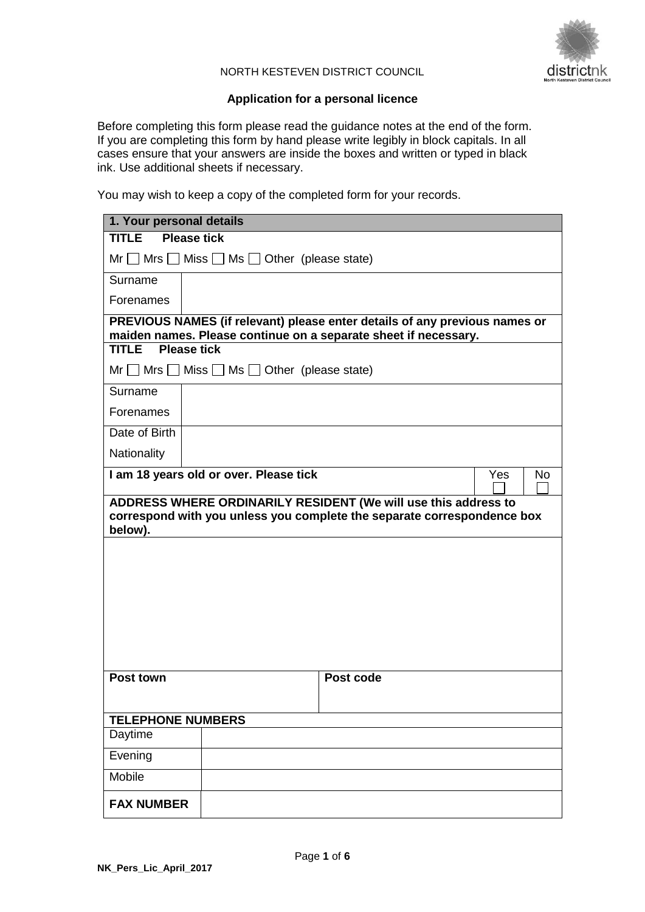

#### NORTH KESTEVEN DISTRICT COUNCIL

### **Application for a personal licence**

Before completing this form please read the guidance notes at the end of the form. If you are completing this form by hand please write legibly in block capitals. In all cases ensure that your answers are inside the boxes and written or typed in black ink. Use additional sheets if necessary.

You may wish to keep a copy of the completed form for your records.

| 1. Your personal details                                                                                                                             |                                                                                                                                               |  |  |  |
|------------------------------------------------------------------------------------------------------------------------------------------------------|-----------------------------------------------------------------------------------------------------------------------------------------------|--|--|--|
| <b>Please tick</b><br><b>TITLE</b>                                                                                                                   |                                                                                                                                               |  |  |  |
|                                                                                                                                                      | $Mr \tMrs$ Miss $\Box$ Ms $\Box$ Other (please state)                                                                                         |  |  |  |
| Surname                                                                                                                                              |                                                                                                                                               |  |  |  |
| Forenames                                                                                                                                            |                                                                                                                                               |  |  |  |
|                                                                                                                                                      | PREVIOUS NAMES (if relevant) please enter details of any previous names or<br>maiden names. Please continue on a separate sheet if necessary. |  |  |  |
| <b>Please tick</b><br><b>TITLE</b>                                                                                                                   |                                                                                                                                               |  |  |  |
|                                                                                                                                                      | $Mr \tMrs$ Miss $\Box$ Ms $\Box$ Other (please state)                                                                                         |  |  |  |
| Surname                                                                                                                                              |                                                                                                                                               |  |  |  |
| Forenames                                                                                                                                            |                                                                                                                                               |  |  |  |
| Date of Birth                                                                                                                                        |                                                                                                                                               |  |  |  |
| Nationality                                                                                                                                          |                                                                                                                                               |  |  |  |
|                                                                                                                                                      | I am 18 years old or over. Please tick<br>Yes<br>No                                                                                           |  |  |  |
| ADDRESS WHERE ORDINARILY RESIDENT (We will use this address to<br>correspond with you unless you complete the separate correspondence box<br>below). |                                                                                                                                               |  |  |  |
|                                                                                                                                                      |                                                                                                                                               |  |  |  |
|                                                                                                                                                      |                                                                                                                                               |  |  |  |
|                                                                                                                                                      |                                                                                                                                               |  |  |  |
|                                                                                                                                                      |                                                                                                                                               |  |  |  |
|                                                                                                                                                      |                                                                                                                                               |  |  |  |
|                                                                                                                                                      |                                                                                                                                               |  |  |  |
| Post town                                                                                                                                            | Post code                                                                                                                                     |  |  |  |
| <b>TELEPHONE NUMBERS</b>                                                                                                                             |                                                                                                                                               |  |  |  |
| Daytime                                                                                                                                              |                                                                                                                                               |  |  |  |
| Evening                                                                                                                                              |                                                                                                                                               |  |  |  |
| Mobile                                                                                                                                               |                                                                                                                                               |  |  |  |
| <b>FAX NUMBER</b>                                                                                                                                    |                                                                                                                                               |  |  |  |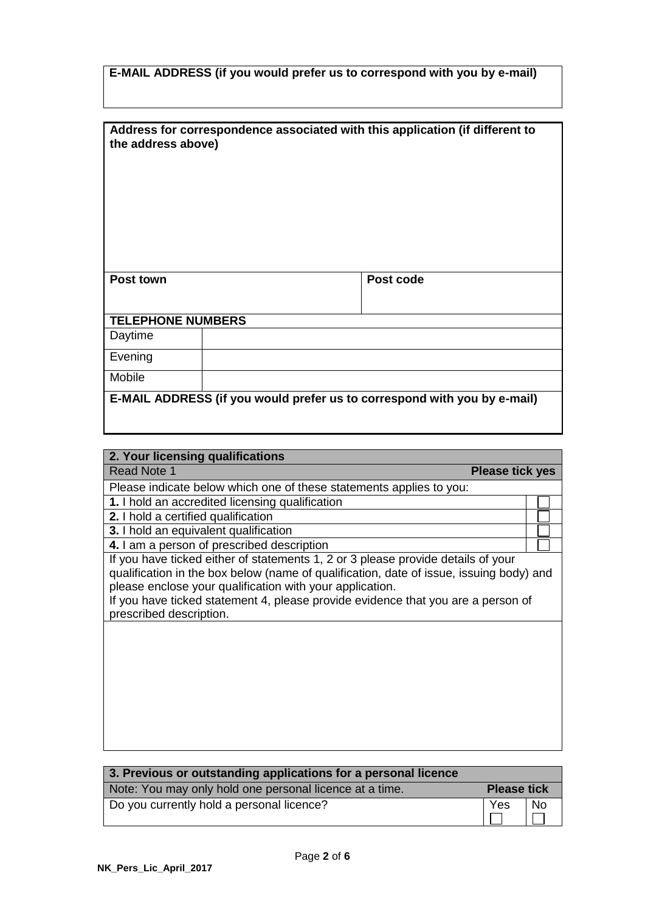|  |  | E-MAIL ADDRESS (if you would prefer us to correspond with you by e-mail) |  |  |
|--|--|--------------------------------------------------------------------------|--|--|
|--|--|--------------------------------------------------------------------------|--|--|

| the address above)                                                       |  | Address for correspondence associated with this application (if different to |  |
|--------------------------------------------------------------------------|--|------------------------------------------------------------------------------|--|
| Post town                                                                |  | Post code                                                                    |  |
| <b>TELEPHONE NUMBERS</b>                                                 |  |                                                                              |  |
| Daytime                                                                  |  |                                                                              |  |
| Evening                                                                  |  |                                                                              |  |
| Mobile                                                                   |  |                                                                              |  |
| E-MAIL ADDRESS (if you would prefer us to correspond with you by e-mail) |  |                                                                              |  |

| 2. Your licensing qualifications                                                                                                                                                                                                                                                                                                                       |  |
|--------------------------------------------------------------------------------------------------------------------------------------------------------------------------------------------------------------------------------------------------------------------------------------------------------------------------------------------------------|--|
| <b>Read Note 1</b><br><b>Please tick yes</b>                                                                                                                                                                                                                                                                                                           |  |
| Please indicate below which one of these statements applies to you:                                                                                                                                                                                                                                                                                    |  |
| 1. I hold an accredited licensing qualification                                                                                                                                                                                                                                                                                                        |  |
| 2. I hold a certified qualification                                                                                                                                                                                                                                                                                                                    |  |
| 3. I hold an equivalent qualification                                                                                                                                                                                                                                                                                                                  |  |
| 4. I am a person of prescribed description                                                                                                                                                                                                                                                                                                             |  |
| If you have ticked either of statements 1, 2 or 3 please provide details of your<br>qualification in the box below (name of qualification, date of issue, issuing body) and<br>please enclose your qualification with your application.<br>If you have ticked statement 4, please provide evidence that you are a person of<br>prescribed description. |  |
|                                                                                                                                                                                                                                                                                                                                                        |  |

٦

| 3. Previous or outstanding applications for a personal licence |                    |    |
|----------------------------------------------------------------|--------------------|----|
| Note: You may only hold one personal licence at a time.        | <b>Please tick</b> |    |
| Do you currently hold a personal licence?                      | Yes                | No |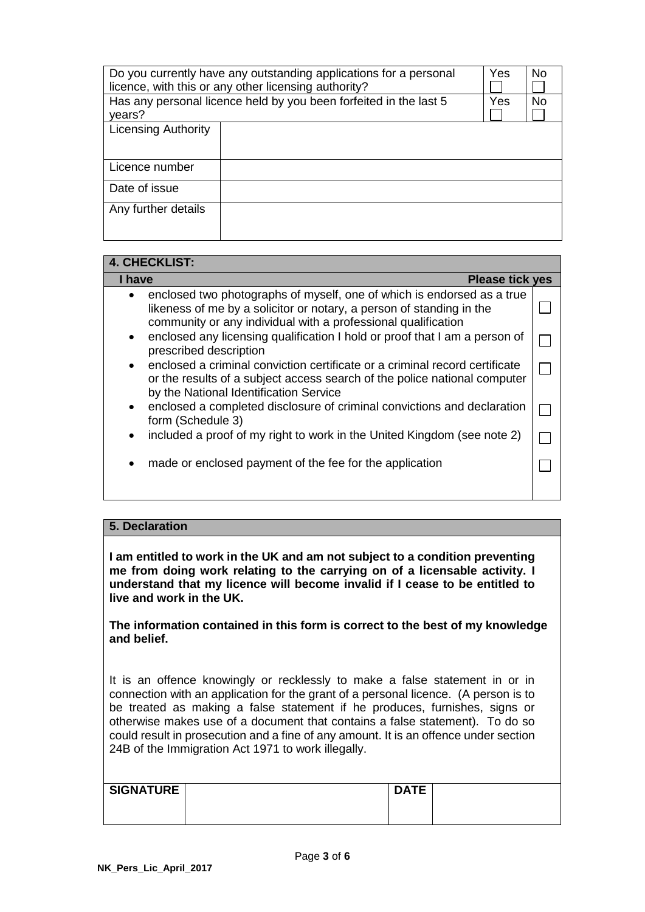| Do you currently have any outstanding applications for a personal | Yes | N <sub>0</sub> |                |
|-------------------------------------------------------------------|-----|----------------|----------------|
| licence, with this or any other licensing authority?              |     |                |                |
| Has any personal licence held by you been forfeited in the last 5 |     |                | N <sub>0</sub> |
| years?                                                            |     |                |                |
| <b>Licensing Authority</b>                                        |     |                |                |
|                                                                   |     |                |                |
|                                                                   |     |                |                |
| Licence number                                                    |     |                |                |
| Date of issue                                                     |     |                |                |
|                                                                   |     |                |                |
| Any further details                                               |     |                |                |
|                                                                   |     |                |                |
|                                                                   |     |                |                |

# **4. CHECKLIST:**

| I have<br><b>Please tick yes</b>                                                                                                                                                                                             |  |
|------------------------------------------------------------------------------------------------------------------------------------------------------------------------------------------------------------------------------|--|
| enclosed two photographs of myself, one of which is endorsed as a true<br>$\bullet$<br>likeness of me by a solicitor or notary, a person of standing in the<br>community or any individual with a professional qualification |  |
| enclosed any licensing qualification I hold or proof that I am a person of<br>$\bullet$<br>prescribed description                                                                                                            |  |
| enclosed a criminal conviction certificate or a criminal record certificate<br>$\bullet$<br>or the results of a subject access search of the police national computer<br>by the National Identification Service              |  |
| enclosed a completed disclosure of criminal convictions and declaration<br>$\bullet$<br>form (Schedule 3)                                                                                                                    |  |
| included a proof of my right to work in the United Kingdom (see note 2)<br>$\bullet$                                                                                                                                         |  |
| made or enclosed payment of the fee for the application<br>٠                                                                                                                                                                 |  |

## **5. Declaration**

**I am entitled to work in the UK and am not subject to a condition preventing me from doing work relating to the carrying on of a licensable activity. I understand that my licence will become invalid if I cease to be entitled to live and work in the UK.**

**The information contained in this form is correct to the best of my knowledge and belief.**

It is an offence knowingly or recklessly to make a false statement in or in connection with an application for the grant of a personal licence. (A person is to be treated as making a false statement if he produces, furnishes, signs or otherwise makes use of a document that contains a false statement). To do so could result in prosecution and a fine of any amount. It is an offence under section 24B of the Immigration Act 1971 to work illegally.

| <b>SIGNATURE</b> | <b>DATE</b> |  |
|------------------|-------------|--|
|                  |             |  |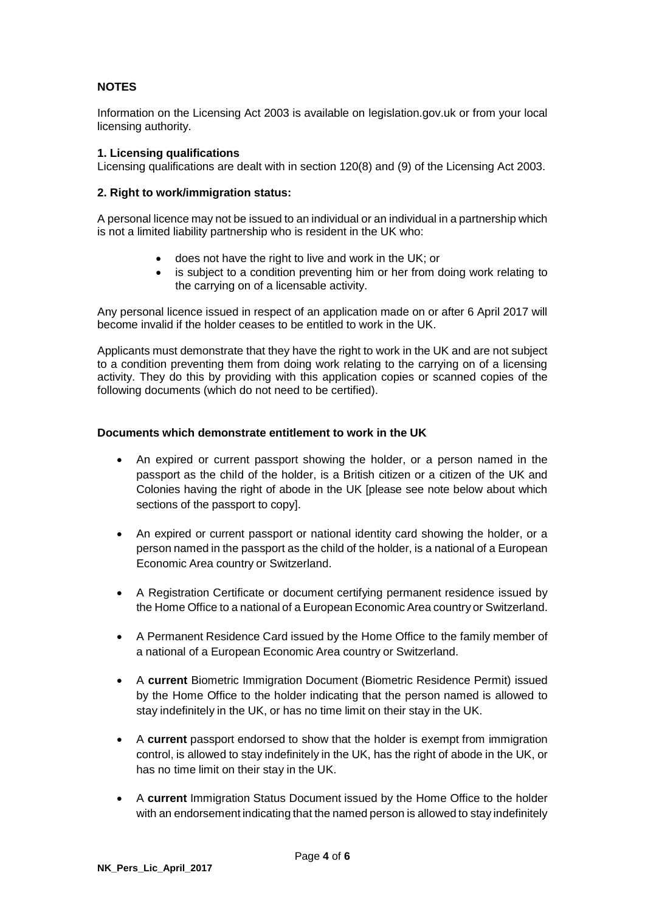## **NOTES**

Information on the Licensing Act 2003 is available on legislation.gov.uk or from your local licensing authority.

### **1. Licensing qualifications**

Licensing qualifications are dealt with in section 120(8) and (9) of the Licensing Act 2003.

#### **2. Right to work/immigration status:**

A personal licence may not be issued to an individual or an individual in a partnership which is not a limited liability partnership who is resident in the UK who:

- does not have the right to live and work in the UK; or
- is subject to a condition preventing him or her from doing work relating to the carrying on of a licensable activity.

Any personal licence issued in respect of an application made on or after 6 April 2017 will become invalid if the holder ceases to be entitled to work in the UK.

Applicants must demonstrate that they have the right to work in the UK and are not subject to a condition preventing them from doing work relating to the carrying on of a licensing activity. They do this by providing with this application copies or scanned copies of the following documents (which do not need to be certified).

#### **Documents which demonstrate entitlement to work in the UK**

- An expired or current passport showing the holder, or a person named in the passport as the child of the holder, is a British citizen or a citizen of the UK and Colonies having the right of abode in the UK [please see note below about which sections of the passport to copy].
- An expired or current passport or national identity card showing the holder, or a person named in the passport as the child of the holder, is a national of a European Economic Area country or Switzerland.
- A Registration Certificate or document certifying permanent residence issued by the Home Office to a national of a European Economic Area country or Switzerland.
- A Permanent Residence Card issued by the Home Office to the family member of a national of a European Economic Area country or Switzerland.
- A **current** Biometric Immigration Document (Biometric Residence Permit) issued by the Home Office to the holder indicating that the person named is allowed to stay indefinitely in the UK, or has no time limit on their stay in the UK.
- A **current** passport endorsed to show that the holder is exempt from immigration control, is allowed to stay indefinitely in the UK, has the right of abode in the UK, or has no time limit on their stay in the UK.
- A **current** Immigration Status Document issued by the Home Office to the holder with an endorsement indicating that the named person is allowed to stay indefinitely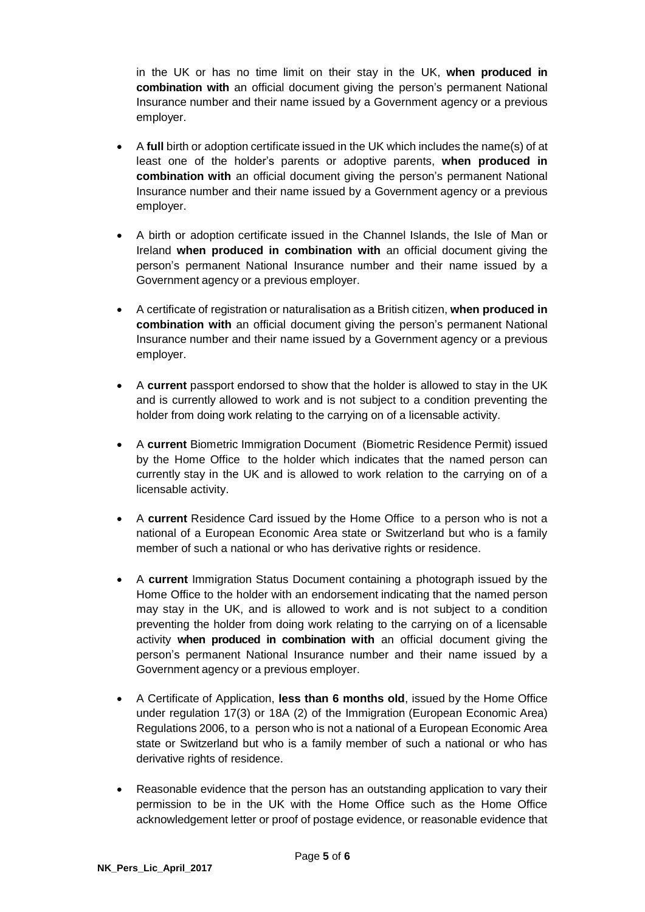in the UK or has no time limit on their stay in the UK, **when produced in combination with** an official document giving the person's permanent National Insurance number and their name issued by a Government agency or a previous employer.

- A **full** birth or adoption certificate issued in the UK which includes the name(s) of at least one of the holder's parents or adoptive parents, **when produced in combination with** an official document giving the person's permanent National Insurance number and their name issued by a Government agency or a previous employer.
- A birth or adoption certificate issued in the Channel Islands, the Isle of Man or Ireland **when produced in combination with** an official document giving the person's permanent National Insurance number and their name issued by a Government agency or a previous employer.
- A certificate of registration or naturalisation as a British citizen, **when produced in combination with** an official document giving the person's permanent National Insurance number and their name issued by a Government agency or a previous employer.
- A **current** passport endorsed to show that the holder is allowed to stay in the UK and is currently allowed to work and is not subject to a condition preventing the holder from doing work relating to the carrying on of a licensable activity.
- A **current** Biometric Immigration Document (Biometric Residence Permit) issued by the Home Office to the holder which indicates that the named person can currently stay in the UK and is allowed to work relation to the carrying on of a licensable activity.
- A **current** Residence Card issued by the Home Office to a person who is not a national of a European Economic Area state or Switzerland but who is a family member of such a national or who has derivative rights or residence.
- A **current** Immigration Status Document containing a photograph issued by the Home Office to the holder with an endorsement indicating that the named person may stay in the UK, and is allowed to work and is not subject to a condition preventing the holder from doing work relating to the carrying on of a licensable activity **when produced in combination with** an official document giving the person's permanent National Insurance number and their name issued by a Government agency or a previous employer.
- A Certificate of Application, **less than 6 months old**, issued by the Home Office under regulation 17(3) or 18A (2) of the Immigration (European Economic Area) Regulations 2006, to a person who is not a national of a European Economic Area state or Switzerland but who is a family member of such a national or who has derivative rights of residence.
- Reasonable evidence that the person has an outstanding application to vary their permission to be in the UK with the Home Office such as the Home Office acknowledgement letter or proof of postage evidence, or reasonable evidence that